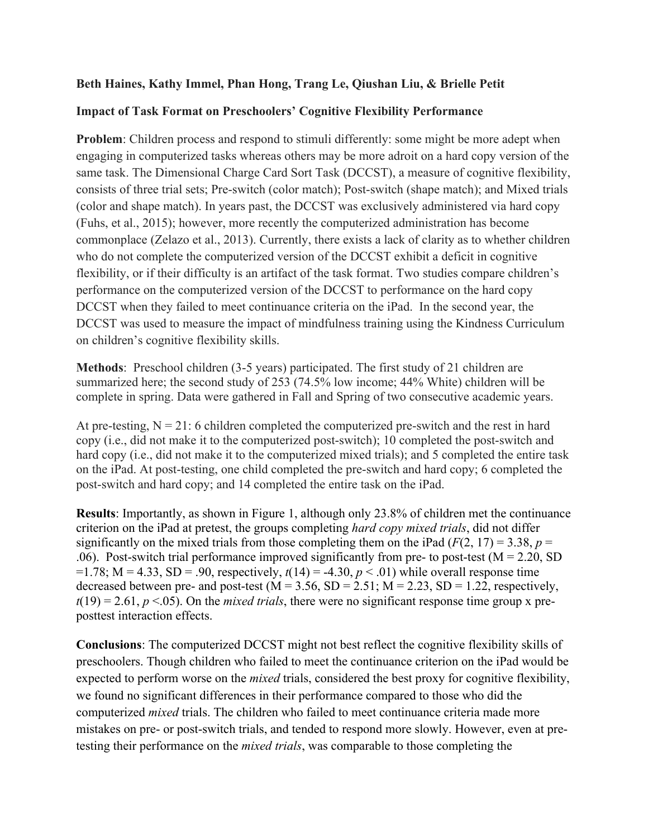## **Beth Haines, Kathy Immel, Phan Hong, Trang Le, Qiushan Liu, & Brielle Petit**

## **Impact of Task Format on Preschoolers' Cognitive Flexibility Performance**

**Problem:** Children process and respond to stimuli differently: some might be more adept when engaging in computerized tasks whereas others may be more adroit on a hard copy version of the same task. The Dimensional Charge Card Sort Task (DCCST), a measure of cognitive flexibility, consists of three trial sets; Pre-switch (color match); Post-switch (shape match); and Mixed trials (color and shape match). In years past, the DCCST was exclusively administered via hard copy (Fuhs, et al., 2015); however, more recently the computerized administration has become commonplace (Zelazo et al., 2013). Currently, there exists a lack of clarity as to whether children who do not complete the computerized version of the DCCST exhibit a deficit in cognitive flexibility, or if their difficulty is an artifact of the task format. Two studies compare children's performance on the computerized version of the DCCST to performance on the hard copy DCCST when they failed to meet continuance criteria on the iPad. In the second year, the DCCST was used to measure the impact of mindfulness training using the Kindness Curriculum on children's cognitive flexibility skills.

**Methods**: Preschool children (3-5 years) participated. The first study of 21 children are summarized here; the second study of 253 (74.5% low income; 44% White) children will be complete in spring. Data were gathered in Fall and Spring of two consecutive academic years.

At pre-testing,  $N = 21$ : 6 children completed the computerized pre-switch and the rest in hard copy (i.e., did not make it to the computerized post-switch); 10 completed the post-switch and hard copy (i.e., did not make it to the computerized mixed trials); and 5 completed the entire task on the iPad. At post-testing, one child completed the pre-switch and hard copy; 6 completed the post-switch and hard copy; and 14 completed the entire task on the iPad.

**Results**: Importantly, as shown in Figure 1, although only 23.8% of children met the continuance criterion on the iPad at pretest, the groups completing *hard copy mixed trials*, did not differ significantly on the mixed trials from those completing them on the iPad  $(F(2, 17) = 3.38, p =$ .06). Post-switch trial performance improved significantly from pre- to post-test ( $M = 2.20$ , SD  $=1.78$ ; M = 4.33, SD = .90, respectively,  $t(14) = -4.30$ ,  $p < .01$ ) while overall response time decreased between pre- and post-test ( $M = 3.56$ ,  $SD = 2.51$ ;  $M = 2.23$ ,  $SD = 1.22$ , respectively,  $t(19) = 2.61, p \le 0.05$ . On the *mixed trials*, there were no significant response time group x preposttest interaction effects.

**Conclusions**: The computerized DCCST might not best reflect the cognitive flexibility skills of preschoolers. Though children who failed to meet the continuance criterion on the iPad would be expected to perform worse on the *mixed* trials, considered the best proxy for cognitive flexibility, we found no significant differences in their performance compared to those who did the computerized *mixed* trials. The children who failed to meet continuance criteria made more mistakes on pre- or post-switch trials, and tended to respond more slowly. However, even at pretesting their performance on the *mixed trials*, was comparable to those completing the